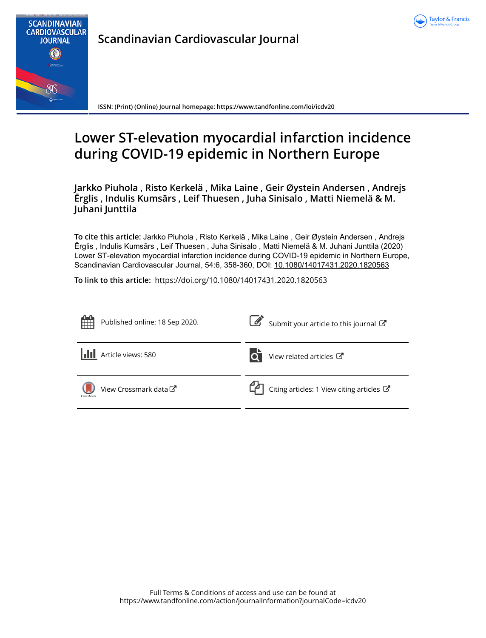



**Scandinavian Cardiovascular Journal**

**ISSN: (Print) (Online) Journal homepage:<https://www.tandfonline.com/loi/icdv20>**

# **Lower ST-elevation myocardial infarction incidence during COVID-19 epidemic in Northern Europe**

**Jarkko Piuhola , Risto Kerkelä , Mika Laine , Geir Øystein Andersen , Andrejs Ērglis , Indulis Kumsārs , Leif Thuesen , Juha Sinisalo , Matti Niemelä & M. Juhani Junttila**

**To cite this article:** Jarkko Piuhola , Risto Kerkelä , Mika Laine , Geir Øystein Andersen , Andrejs Ērglis , Indulis Kumsārs , Leif Thuesen , Juha Sinisalo , Matti Niemelä & M. Juhani Junttila (2020) Lower ST-elevation myocardial infarction incidence during COVID-19 epidemic in Northern Europe, Scandinavian Cardiovascular Journal, 54:6, 358-360, DOI: [10.1080/14017431.2020.1820563](https://www.tandfonline.com/action/showCitFormats?doi=10.1080/14017431.2020.1820563)

**To link to this article:** <https://doi.org/10.1080/14017431.2020.1820563>

| 雔<br>Published online: 18 Sep 2020.           | Submit your article to this journal                   |
|-----------------------------------------------|-------------------------------------------------------|
| dd<br>Article views: 580                      | View related articles C                               |
| View Crossmark data <sup>C</sup><br>CrossMark | $\Box$ Citing articles: 1 View citing articles $\Box$ |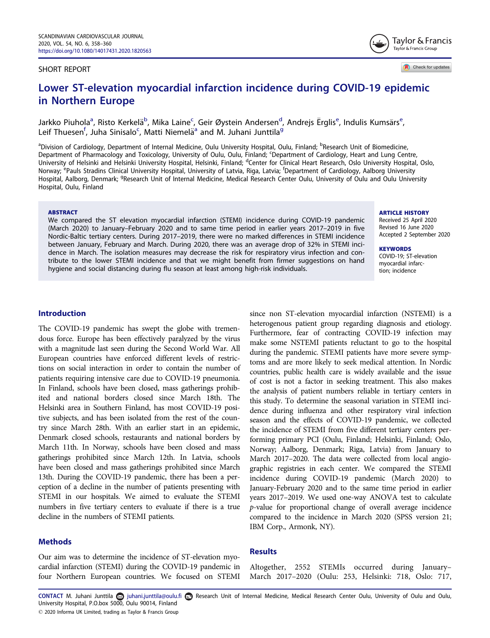#### SHORT REPORT

Check for updates

Taylor & Francis Taylor & Francis Group

# Lower ST-elevation myocardial infarction incidence during COVID-19 epidemic in Northern Europe

Jarkko Piuhola<sup>a</sup>, Risto Kerkelä<sup>b</sup>, Mika Laine<sup>c</sup>, Geir Øystein Andersen<sup>d</sup>, Andrejs Ērglis<sup>e</sup>, Indulis Kumsārs<sup>e</sup>, Leif Thuesen<sup>f</sup>, Juha Sinisalo<sup>c</sup>, Matti Niemelä<sup>a</sup> and M. Juhani Junttila<sup>g</sup>

<sup>a</sup>Division of Cardiology, Department of Internal Medicine, Oulu University Hospital, Oulu, Finland; <sup>b</sup>Research Unit of Biomedicine, Department of Pharmacology and Toxicology, University of Oulu, Oulu, Finland; <sup>c</sup>Department of Cardiology, Heart and Lung Centre, University of Helsinki and Helsinki University Hospital, Helsinki, Finland; <sup>d</sup>Center for Clinical Heart Research, Oslo University Hospital, Oslo, Norway; <sup>e</sup>Pauls Stradins Clinical University Hospital, University of Latvia, Riga, Latvia; <sup>f</sup>Department of Cardiology, Aalborg University Hospital, Aalborg, Denmark; <sup>g</sup>Research Unit of Internal Medicine, Medical Research Center Oulu, University of Oulu and Oulu University Hospital, Oulu, Finland

#### ABSTRACT

We compared the ST elevation myocardial infarction (STEMI) incidence during COVID-19 pandemic (March 2020) to January–February 2020 and to same time period in earlier years 2017–2019 in five Nordic-Baltic tertiary centers. During 2017–2019, there were no marked differences in STEMI incidence between January, February and March. During 2020, there was an average drop of 32% in STEMI incidence in March. The isolation measures may decrease the risk for respiratory virus infection and contribute to the lower STEMI incidence and that we might benefit from firmer suggestions on hand hygiene and social distancing during flu season at least among high-risk individuals.

ARTICLE HISTORY

Received 25 April 2020 Revised 16 June 2020 Accepted 2 September 2020

**KEYWORDS** COVID-19; ST-elevation myocardial infarction; incidence

#### Introduction

The COVID-19 pandemic has swept the globe with tremendous force. Europe has been effectively paralyzed by the virus with a magnitude last seen during the Second World War. All European countries have enforced different levels of restrictions on social interaction in order to contain the number of patients requiring intensive care due to COVID-19 pneumonia. In Finland, schools have been closed, mass gatherings prohibited and national borders closed since March 18th. The Helsinki area in Southern Finland, has most COVID-19 positive subjects, and has been isolated from the rest of the country since March 28th. With an earlier start in an epidemic, Denmark closed schools, restaurants and national borders by March 11th. In Norway, schools have been closed and mass gatherings prohibited since March 12th. In Latvia, schools have been closed and mass gatherings prohibited since March 13th. During the COVID-19 pandemic, there has been a perception of a decline in the number of patients presenting with STEMI in our hospitals. We aimed to evaluate the STEMI numbers in five tertiary centers to evaluate if there is a true decline in the numbers of STEMI patients.

# Methods

Our aim was to determine the incidence of ST-elevation myocardial infarction (STEMI) during the COVID-19 pandemic in four Northern European countries. We focused on STEMI

since non ST-elevation myocardial infarction (NSTEMI) is a heterogenous patient group regarding diagnosis and etiology. Furthermore, fear of contracting COVID-19 infection may make some NSTEMI patients reluctant to go to the hospital during the pandemic. STEMI patients have more severe symptoms and are more likely to seek medical attention. In Nordic countries, public health care is widely available and the issue of cost is not a factor in seeking treatment. This also makes the analysis of patient numbers reliable in tertiary centers in this study. To determine the seasonal variation in STEMI incidence during influenza and other respiratory viral infection season and the effects of COVID-19 pandemic, we collected the incidence of STEMI from five different tertiary centers performing primary PCI (Oulu, Finland; Helsinki, Finland; Oslo, Norway; Aalborg, Denmark; Riga, Latvia) from January to March 2017–2020. The data were collected from local angiographic registries in each center. We compared the STEMI incidence during COVID-19 pandemic (March 2020) to January-February 2020 and to the same time period in earlier years 2017–2019. We used one-way ANOVA test to calculate p-value for proportional change of overall average incidence compared to the incidence in March 2020 (SPSS version 21; IBM Corp., Armonk, NY).

#### Results

Altogether, 2552 STEMIs occurred during January– March 2017–2020 (Oulu: 253, Helsinki: 718, Oslo: 717,

CONTACT M. Juhani Junttila a juhani.junttila@oulu.fi a Research Unit of Internal Medicine, Medical Research Center Oulu, University of Oulu and Oulu, University Hospital, P.O.box 5000, Oulu 90014, Finland 2020 Informa UK Limited, trading as Taylor & Francis Group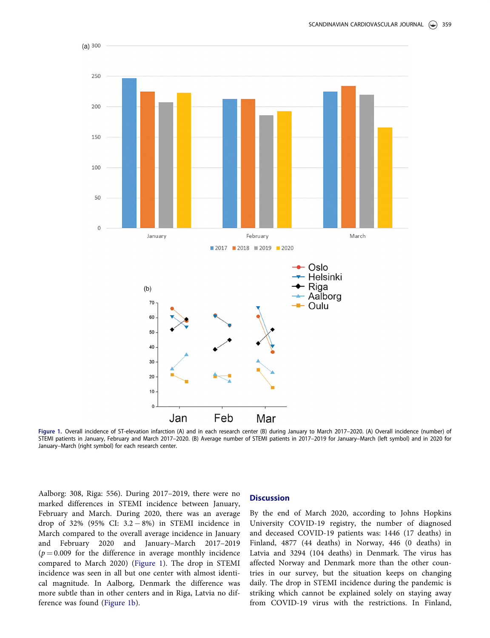

Figure 1. Overall incidence of ST-elevation infarction (A) and in each research center (B) during January to March 2017–2020. (A) Overall incidence (number) of ST-elevion (a) and in 2020<br>STEMI patients in January, February January–March (right symbol) for each research center.

Aalborg: 308, Riga: 556). During 2017–2019, there were no marked differences in STEMI incidence between January, February and March. During 2020, there was an average drop of 32% (95% CI:  $3.2 - 8%$ ) in STEMI incidence in March compared to the overall average incidence in January and February 2020 and January–March 2017–2019  $(p = 0.009)$  for the difference in average monthly incidence compared to March 2020) (Figure 1). The drop in STEMI incidence was seen in all but one center with almost identical magnitude. In Aalborg, Denmark the difference was more subtle than in other centers and in Riga, Latvia no difference was found (Figure 1b).

## **Discussion**

By the end of March 2020, according to Johns Hopkins University COVID-19 registry, the number of diagnosed and deceased COVID-19 patients was: 1446 (17 deaths) in Finland, 4877 (44 deaths) in Norway, 446 (0 deaths) in Latvia and 3294 (104 deaths) in Denmark. The virus has affected Norway and Denmark more than the other countries in our survey, but the situation keeps on changing daily. The drop in STEMI incidence during the pandemic is striking which cannot be explained solely on staying away from COVID-19 virus with the restrictions. In Finland,